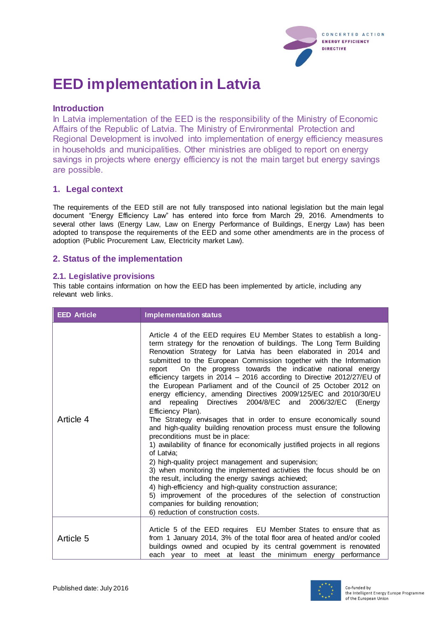

# **EED implementation in Latvia**

## **Introduction**

In Latvia implementation of the EED is the responsibility of the Ministry of Economic Affairs of the Republic of Latvia. The Ministry of Environmental Protection and Regional Development is involved into implementation of energy efficiency measures in households and municipalities. Other ministries are obliged to report on energy savings in projects where energy efficiency is not the main target but energy savings are possible.

# **1. Legal context**

The requirements of the EED still are not fully transposed into national legislation but the main legal document "Energy Efficiency Law" has entered into force from March 29, 2016. Amendments to several other laws (Energy Law, Law on Energy Performance of Buildings, Energy Law) has been adopted to transpose the requirements of the EED and some other amendments are in the process of adoption (Public Procurement Law, Electricity market Law).

## **2. Status of the implementation**

## **2.1. Legislative provisions**

This table contains information on how the EED has been implemented by article, including any relevant web links.

| <b>EED Article</b> | <b>Implementation status</b>                                                                                                                                                                                                                                                                                                                                                                                                                                                                                                                                                                                                                                                                                                                                                                                                                                                                                                                                                                                                                                                                                                                                                                                                                                                                                                                            |
|--------------------|---------------------------------------------------------------------------------------------------------------------------------------------------------------------------------------------------------------------------------------------------------------------------------------------------------------------------------------------------------------------------------------------------------------------------------------------------------------------------------------------------------------------------------------------------------------------------------------------------------------------------------------------------------------------------------------------------------------------------------------------------------------------------------------------------------------------------------------------------------------------------------------------------------------------------------------------------------------------------------------------------------------------------------------------------------------------------------------------------------------------------------------------------------------------------------------------------------------------------------------------------------------------------------------------------------------------------------------------------------|
| Article 4          | Article 4 of the EED requires EU Member States to establish a long-<br>term strategy for the renovation of buildings. The Long Term Building<br>Renovation Strategy for Latvia has been elaborated in 2014 and<br>submitted to the European Commission together with the Information<br>On the progress towards the indicative national energy<br>report<br>efficiency targets in 2014 - 2016 according to Directive 2012/27/EU of<br>the European Parliament and of the Council of 25 October 2012 on<br>energy efficiency, amending Directives 2009/125/EC and 2010/30/EU<br>and repealing Directives 2004/8/EC and 2006/32/EC<br>(Energy<br>Efficiency Plan).<br>The Strategy envisages that in order to ensure economically sound<br>and high-quality building renovation process must ensure the following<br>preconditions must be in place:<br>1) availability of finance for economically justified projects in all regions<br>of Latvia;<br>2) high-quality project management and supervision;<br>3) when monitoring the implemented activities the focus should be on<br>the result, including the energy savings achieved;<br>4) high-efficiency and high-quality construction assurance;<br>5) improvement of the procedures of the selection of construction<br>companies for building renovation;<br>6) reduction of construction costs. |
| Article 5          | Article 5 of the EED requires EU Member States to ensure that as<br>from 1 January 2014, 3% of the total floor area of heated and/or cooled<br>buildings owned and ocupied by its central government is renovated<br>each year to meet at least the minimum energy performance                                                                                                                                                                                                                                                                                                                                                                                                                                                                                                                                                                                                                                                                                                                                                                                                                                                                                                                                                                                                                                                                          |

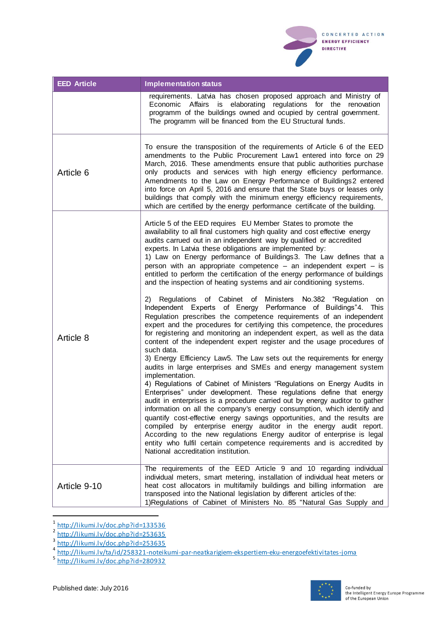

| <b>EED Article</b> | <b>Implementation status</b>                                                                                                                                                                                                                                                                                                                                                                                                                                                                                                                                                                                                                                                                                                                                                                                                                                                                                                                                                                                                                                                                                                                                                                                                                                                            |
|--------------------|-----------------------------------------------------------------------------------------------------------------------------------------------------------------------------------------------------------------------------------------------------------------------------------------------------------------------------------------------------------------------------------------------------------------------------------------------------------------------------------------------------------------------------------------------------------------------------------------------------------------------------------------------------------------------------------------------------------------------------------------------------------------------------------------------------------------------------------------------------------------------------------------------------------------------------------------------------------------------------------------------------------------------------------------------------------------------------------------------------------------------------------------------------------------------------------------------------------------------------------------------------------------------------------------|
|                    | requirements. Latvia has chosen proposed approach and Ministry of<br>Economic<br>Affairs<br>is<br>elaborating regulations for the renovation<br>programm of the buildings owned and ocupied by central government.<br>The programm will be financed from the EU Structural funds.                                                                                                                                                                                                                                                                                                                                                                                                                                                                                                                                                                                                                                                                                                                                                                                                                                                                                                                                                                                                       |
| Article 6          | To ensure the transposition of the requirements of Article 6 of the EED<br>amendments to the Public Procurement Law1 entered into force on 29<br>March, 2016. These amendments ensure that public authorities purchase<br>only products and services with high energy efficiency performance.<br>Amendments to the Law on Energy Performance of Buildings2 entered<br>into force on April 5, 2016 and ensure that the State buys or leases only<br>buildings that comply with the minimum energy efficiency requirements,<br>which are certified by the energy performance certificate of the building.                                                                                                                                                                                                                                                                                                                                                                                                                                                                                                                                                                                                                                                                                 |
| Article 8          | Article 5 of the EED requires EU Member States to promote the<br>awailability to all final customers high quality and cost effective energy<br>audits carrued out in an independent way by qualified or accredited<br>experts. In Latvia these obligations are implemented by:<br>1) Law on Energy performance of Buildings3. The Law defines that a<br>person with an appropriate competence $-$ an independent expert $-$ is<br>entitled to perform the certification of the energy performance of buildings<br>and the inspection of heating systems and air conditioning systems.                                                                                                                                                                                                                                                                                                                                                                                                                                                                                                                                                                                                                                                                                                   |
|                    | Regulations of Cabinet of Ministers No.382 "Regulation on<br>(2)<br>Independent Experts of Energy Performance of Buildings"4. This<br>Regulation prescribes the competence requirements of an independent<br>expert and the procedures for certifying this competence, the procedures<br>for registering and monitoring an independent expert, as well as the data<br>content of the independent expert register and the usage procedures of<br>such data.<br>3) Energy Efficiency Law5. The Law sets out the requirements for energy<br>audits in large enterprises and SMEs and energy management system<br>implementation.<br>4) Regulations of Cabinet of Ministers "Regulations on Energy Audits in<br>Enterprises" under development. These regulations define that energy<br>audit in enterprises is a procedure carried out by energy auditor to gather<br>information on all the company's energy consumption, which identify and<br>quantify cost-effective energy savings opportunities, and the results are<br>compiled by enterprise energy auditor in the energy audit report.<br>According to the new regulations Energy auditor of enterprise is legal<br>entity who fulfil certain competence requirements and is accredited by<br>National accreditation institution. |
| Article 9-10       | The requirements of the EED Article 9 and 10 regarding individual<br>individual meters, smart metering, installation of individual heat meters or<br>heat cost allocators in multifamily buildings and billing information<br>are                                                                                                                                                                                                                                                                                                                                                                                                                                                                                                                                                                                                                                                                                                                                                                                                                                                                                                                                                                                                                                                       |
|                    | transposed into the National legislation by different articles of the:<br>1) Regulations of Cabinet of Ministers No. 85 "Natural Gas Supply and                                                                                                                                                                                                                                                                                                                                                                                                                                                                                                                                                                                                                                                                                                                                                                                                                                                                                                                                                                                                                                                                                                                                         |



<sup>1&</sup>lt;br>
2 <http://likumi.lv/doc.php?id=133536><br>
2 <http://likumi.lv/doc.php?id=253635><br>
4 http://likumi.lv/doc.php?id=253635<br>
5 <http://likumi.lv/ta/id/258321-noteikumi-par-neatkarigiem-ekspertiem-eku-energoefektivitates-joma><br>
5 htt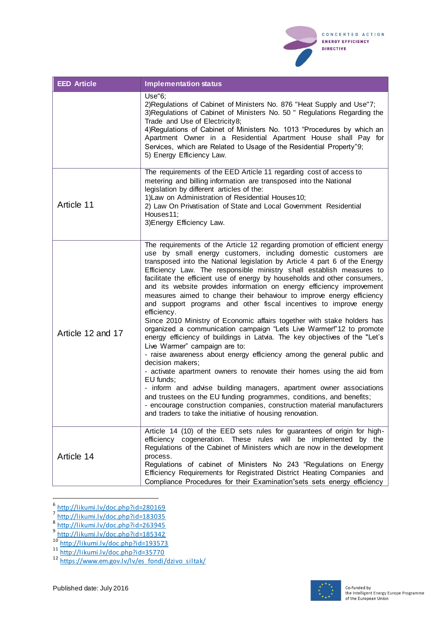

| <b>EED Article</b> | <b>Implementation status</b>                                                                                                                                                                                                                                                                                                                                                                                                                                                                                                                                                                                                                                                                                                                                                                                                                                                                                                                                                                                                                                                                                                                                                                                                                                                                                                                                         |
|--------------------|----------------------------------------------------------------------------------------------------------------------------------------------------------------------------------------------------------------------------------------------------------------------------------------------------------------------------------------------------------------------------------------------------------------------------------------------------------------------------------------------------------------------------------------------------------------------------------------------------------------------------------------------------------------------------------------------------------------------------------------------------------------------------------------------------------------------------------------------------------------------------------------------------------------------------------------------------------------------------------------------------------------------------------------------------------------------------------------------------------------------------------------------------------------------------------------------------------------------------------------------------------------------------------------------------------------------------------------------------------------------|
|                    | Use "6;<br>2) Regulations of Cabinet of Ministers No. 876 "Heat Supply and Use"7;<br>3) Regulations of Cabinet of Ministers No. 50 " Regulations Regarding the<br>Trade and Use of Electricity8;<br>4) Regulations of Cabinet of Ministers No. 1013 "Procedures by which an<br>Apartment Owner in a Residential Apartment House shall Pay for<br>Services, which are Related to Usage of the Residential Property"9;<br>5) Energy Efficiency Law.                                                                                                                                                                                                                                                                                                                                                                                                                                                                                                                                                                                                                                                                                                                                                                                                                                                                                                                    |
| Article 11         | The requirements of the EED Article 11 regarding cost of access to<br>metering and billing information are transposed into the National<br>legislation by different articles of the:<br>1) Law on Administration of Residential Houses 10;<br>2) Law On Privatisation of State and Local Government Residential<br>Houses11;<br>3) Energy Efficiency Law.                                                                                                                                                                                                                                                                                                                                                                                                                                                                                                                                                                                                                                                                                                                                                                                                                                                                                                                                                                                                            |
| Article 12 and 17  | The requirements of the Article 12 regarding promotion of efficient energy<br>use by small energy customers, including domestic customers are<br>transposed into the National legislation by Article 4 part 6 of the Energy<br>Efficiency Law. The responsible ministry shall establish measures to<br>facilitate the efficient use of energy by households and other consumers,<br>and its website provides information on energy efficiency improvement<br>measures aimed to change their behaviour to improve energy efficiency<br>and support programs and other fiscal incentives to improve energy<br>efficiency.<br>Since 2010 Ministry of Economic affairs together with stake holders has<br>organized a communication campaign "Lets Live Warmer!"12 to promote<br>energy efficiency of buildings in Latvia. The key objectives of the "Let's<br>Live Warmer" campaign are to:<br>- raise awareness about energy efficiency among the general public and<br>decision makers;<br>- activate apartment owners to renovate their homes using the aid from<br>EU funds;<br>- inform and advise building managers, apartment owner associations<br>and trustees on the EU funding programmes, conditions, and benefits;<br>- encourage construction companies, construction material manufacturers<br>and traders to take the initiative of housing renovation. |
| Article 14         | Article 14 (10) of the EED sets rules for guarantees of origin for high-<br>efficiency cogeneration. These rules will be implemented by the<br>Regulations of the Cabinet of Ministers which are now in the development<br>process.<br>Regulations of cabinet of Ministers No 243 "Regulations on Energy<br>Efficiency Requirements for Registrated District Heating Companies and<br>Compliance Procedures for their Examination" sets sets energy efficiency                                                                                                                                                                                                                                                                                                                                                                                                                                                                                                                                                                                                                                                                                                                                                                                                                                                                                                       |

<sup>&</sup>lt;sup>6</sup><br><http://likumi.lv/doc.php?id=280169><br>8 <http://likumi.lv/doc.php?id=183035><br>9 <http://likumi.lv/doc.php?id=185342><br><sup>9</sup> http://likumi.lv/doc.php?id=185342



<sup>&</sup>lt;sup>10</sup> <http://likumi.lv/doc.php?id=193573>

<sup>&</sup>lt;sup>11</sup> <http://likumi.lv/doc.php?id=35770>

<sup>&</sup>lt;sup>12</sup> [https://www.em.gov.lv/lv/es\\_fondi/dzivo\\_siltak/](https://www.em.gov.lv/lv/es_fondi/dzivo_siltak/)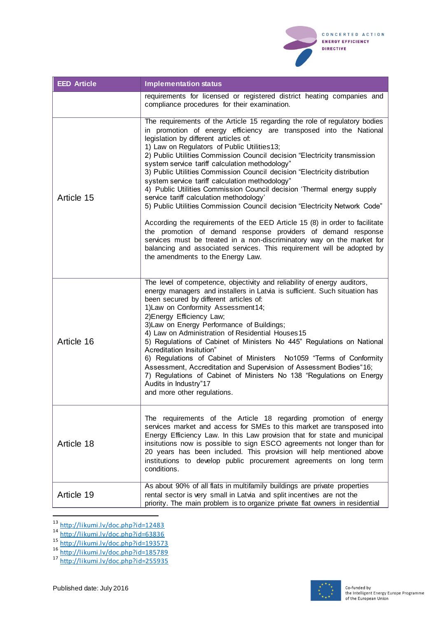

| <b>EED Article</b> | <b>Implementation status</b>                                                                                                                                                                                                                                                                                                                                                                                                                                                                                                                                                                                                                                                                                                                                                                                                                                                                                                        |
|--------------------|-------------------------------------------------------------------------------------------------------------------------------------------------------------------------------------------------------------------------------------------------------------------------------------------------------------------------------------------------------------------------------------------------------------------------------------------------------------------------------------------------------------------------------------------------------------------------------------------------------------------------------------------------------------------------------------------------------------------------------------------------------------------------------------------------------------------------------------------------------------------------------------------------------------------------------------|
|                    | requirements for licensed or registered district heating companies and<br>compliance procedures for their examination.                                                                                                                                                                                                                                                                                                                                                                                                                                                                                                                                                                                                                                                                                                                                                                                                              |
| Article 15         | The requirements of the Article 15 regarding the role of regulatory bodies<br>in promotion of energy efficiency are transposed into the National<br>legislation by different articles of:<br>1) Law on Regulators of Public Utilities13;<br>2) Public Utilities Commission Council decision "Electricity transmission<br>system service tariff calculation methodology"<br>3) Public Utilities Commission Council decision "Electricity distribution<br>system service tariff calculation methodology"<br>4) Public Utilities Commission Council decision 'Thermal energy supply<br>service tariff calculation methodology'<br>5) Public Utilities Commission Council decision "Electricity Network Code"<br>According the requirements of the EED Article 15 (8) in order to facilitate<br>the promotion of demand response providers of demand response<br>services must be treated in a non-discriminatory way on the market for |
|                    | balancing and associated services. This requirement will be adopted by<br>the amendments to the Energy Law.                                                                                                                                                                                                                                                                                                                                                                                                                                                                                                                                                                                                                                                                                                                                                                                                                         |
| Article 16         | The level of competence, objectivity and reliability of energy auditors,<br>energy managers and installers in Latvia is sufficient. Such situation has<br>been secured by different articles of:<br>1) Law on Conformity Assessment 14;<br>2) Energy Efficiency Law;<br>3) Law on Energy Performance of Buildings;<br>4) Law on Administration of Residential Houses 15<br>5) Regulations of Cabinet of Ministers No 445" Regulations on National<br>Acreditation Insitution"<br>6) Regulations of Cabinet of Ministers  No1059 "Terms of Conformity<br>Assessment, Accreditation and Supervision of Assessment Bodies"16;<br>7) Regulations of Cabinet of Ministers No 138 "Regulations on Energy<br>Audits in Industry"17<br>and more other regulations.                                                                                                                                                                          |
| Article 18         | The requirements of the Article 18 regarding promotion of energy<br>services market and access for SMEs to this market are transposed into<br>Energy Efficiency Law. In this Law provision that for state and municipal<br>insitutions now is possible to sign ESCO agreements not longer than for<br>20 years has been included. This provision will help mentioned above<br>institutions to develop public procurement agreements on long term<br>conditions.                                                                                                                                                                                                                                                                                                                                                                                                                                                                     |
| Article 19         | As about 90% of all flats in multifamily buildings are private properties<br>rental sector is very small in Latvia and split incentives are not the<br>priority. The main problem is to organize private flat owners in residential                                                                                                                                                                                                                                                                                                                                                                                                                                                                                                                                                                                                                                                                                                 |

<sup>&</sup>lt;sup>13</sup> <http://likumi.lv/doc.php?id=12483>

<sup>16</sup> <http://likumi.lv/doc.php?id=185789>

 $\overline{a}$ 



<sup>&</sup>lt;sup>14</sup> <http://likumi.lv/doc.php?id=63836>

<sup>&</sup>lt;sup>15</sup> <http://likumi.lv/doc.php?id=193573>

<sup>&</sup>lt;sup>17</sup> <http://likumi.lv/doc.php?id=255935>